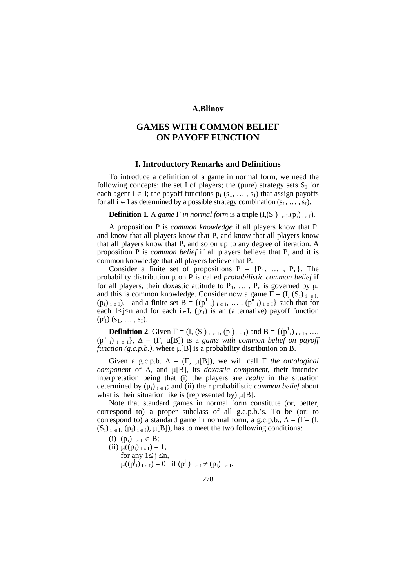## **A.Blinov**

# **GAMES WITH COMMON BELIEF ON PAYOFF FUNCTION**

## **I. Introductory Remarks and Definitions**

To introduce a definition of a game in normal form, we need the following concepts: the set I of players; the (pure) strategy sets  $S_1$  for each agent  $i \in I$ ; the payoff functions  $p_i$  (s<sub>1</sub>, ..., s<sub>I</sub>) that assign payoffs for all  $i \in I$  as determined by a possible strategy combination  $(s_1, \ldots, s_I)$ .

**Definition 1**. A *game*  $\Gamma$  *in normal form* is a triple  $(I, (S_i)_{i \in I}, (p_i)_{i \in I})$ .

A proposition P is *common knowledge* if all players know that P, and know that all players know that P, and know that all players know that all players know that P, and so on up to any degree of iteration. A proposition P is *common belief* if all players believe that P, and it is common knowledge that all players believe that P.

Consider a finite set of propositions  $P = {P_1, \ldots, P_n}$ . The probability distribution µ on P is called *probabilistic common belief* if for all players, their doxastic attitude to  $P_1$ , ...,  $P_n$  is governed by  $\mu$ , and this is common knowledge. Consider now a game  $\Gamma = (I, (S_i)_{i \in I},$  $(p_i)_{i \in I}$ , and a finite set  $B = \{ (p^1)_{i \in I}, \dots, (p^n)_{i \in I} \}$  such that for each  $1 \le j \le n$  and for each i $\in I$ ,  $(p^j)$  is an (alternative) payoff function  $(p^{j}{}_{i})$   $(s_{1}, \ldots, s_{I}).$ 

**Definition 2.** Given  $\Gamma = (I, (S_i)_{i \in I}, (p_i)_{i \in I})$  and  $B = \{(p^1_i)_{i \in I}, ...,$  $(p^n_i)_{i \in I}, \Delta = (\Gamma, \mu[B])$  is a *game with common belief on payoff function (g.c.p.b.)*, where  $\mu[B]$  is a probability distribution on B.

Given a g.c.p.b.  $\Delta = (\Gamma, \mu[B])$ , we will call  $\Gamma$  *the ontological component* of ∆, and µ[B], its *doxastic component*, their intended interpretation being that (i) the players are *really* in the situation determined by  $(p_i)_{i \in I}$ ; and (ii) their probabilistic *common belief* about what is their situation like is (represented by)  $\mu[B]$ .

Note that standard games in normal form constitute (or, better, correspond to) a proper subclass of all g.c.p.b.'s. To be (or: to correspond to) a standard game in normal form, a g.c.p.b.,  $\Delta = (\Gamma = (I,$  $(S_i)_{i \in I}$ ,  $(p_i)_{i \in I}$ ,  $\mu[B]$ , has to meet the two following conditions:

(i) 
$$
(p_i)_{i \in I} \in B
$$
;  
\n(ii)  $\mu((p_i)_{i \in I}) = 1$ ;  
\nfor any  $1 \le j \le n$ ,  
\n $\mu((p^j_i)_{i \in I}) = 0$  if  $(p^j_i)_{i \in I} \ne (p_i)_{i \in I}$ .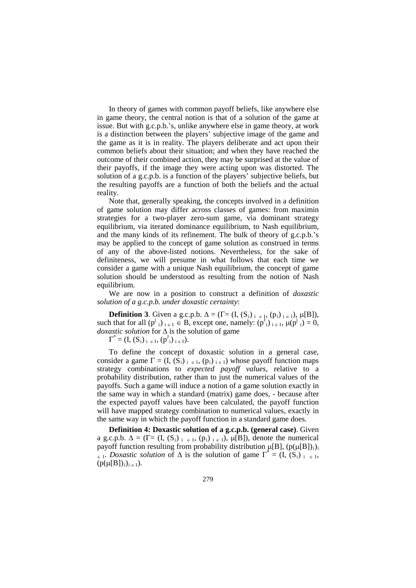In theory of games with common payoff beliefs, like anywhere else in game theory, the central notion is that of a solution of the game at issue. But with g.c.p.b.'s, unlike anywhere else in game theory, at work is a distinction between the players' subjective image of the game and the game as it is in reality. The players deliberate and act upon their common beliefs about their situation; and when they have reached the outcome of their combined action, they may be surprised at the value of their payoffs, if the image they were acting upon was distorted. The solution of a g.c.p.b. is a function of the players' subjective beliefs, but the resulting payoffs are a function of both the beliefs and the actual reality.

Note that, generally speaking, the concepts involved in a definition of game solution may differ across classes of games: from maximin strategies for a two-player zero-sum game, via dominant strategy equilibrium, via iterated dominance equilibrium, to Nash equilibrium, and the many kinds of its refinement. The bulk of theory of g.c.p.b.'s may be applied to the concept of game solution as construed in terms of any of the above-listed notions. Nevertheless, for the sake of definiteness, we will presume in what follows that each time we consider a game with a unique Nash equilibrium, the concept of game solution should be understood as resulting from the notion of Nash equilibrium.

We are now in a position to construct a definition of *doxastic solution of a g.c.p.b. under doxastic certainty*:

**Definition 3**. Given a g.c.p.b.  $\Delta = (\Gamma = (I, (S_i)_{i \in I}, (p_i)_{i \in I}), \mu[B]),$ such that for all  $(p^j_i)_{i \in I} \in B$ , except one, namely:  $(p^J_i)_{i \in I}$ ,  $\mu(p^j_i) = 0$ , *doxastic solution* for ∆ is the solution of game

 $\Gamma^* = (I, (S_i)_{i \in I}, (p^J_i)_{i \in I}).$ 

To define the concept of doxastic solution in a general case, consider a game  $\Gamma = (I, (S_i)_{i \in I}, (p_i)_{i \in I})$  whose payoff function maps strategy combinations to *expected payoff values*, relative to a probability distribution, rather than to just the numerical values of the payoffs. Such a game will induce a notion of a game solution exactly in the same way in which a standard (matrix) game does, - because after the expected payoff values have been calculated, the payoff function will have mapped strategy combination to numerical values, exactly in the same way in which the payoff function in a standard game does.

**Definition 4: Doxastic solution of a g.c.p.b. (general case)**. Given a g.c.p.b.  $\Delta = (\Gamma = (I, (S_i)_{i \in I}, (p_i)_{i \in I}), \mu[B])$ , denote the numerical payoff function resulting from probability distribution  $\mu[B]$ ,  $(p(\mu[B])_i)_i$  $\epsilon_{\text{I}}$ . *Doxastic solution* of  $\Delta$  is the solution of game  $\Gamma^* = (I, (S_i)_{i \in I},$  $(p(\mu[B]),i_{i \in I}).$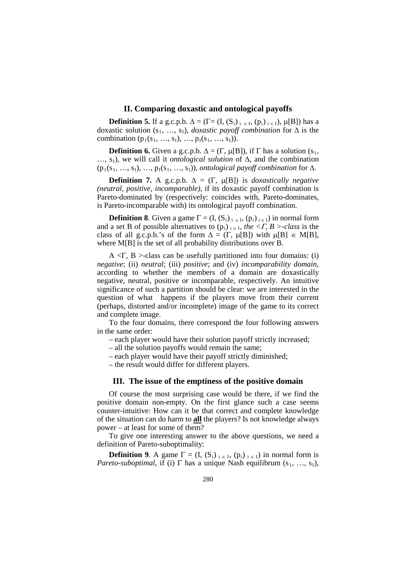#### **II. Comparing doxastic and ontological payoffs**

**Definition 5.** If a g.c.p.b.  $\Delta = (\Gamma = (I, (S_i)_{i \in I}, (p_i)_{i \in I}), \mu[B])$  has a doxastic solution (s1, …, sI), *doxastic payoff combination* for ∆ is the combination  $(p_1(s_1, ..., s_l), ..., p_I(s_1, ..., s_I)).$ 

**Definition 6.** Given a g.c.p.b.  $\Delta = (\Gamma, \mu[B])$ , if  $\Gamma$  has a solution (s<sub>1</sub>, …, s<sub>I</sub>), we will call it *ontological solution* of Δ, and the combination  $(p_1(s_1, ..., s_l), ..., p_l(s_1, ..., s_l))$ , *ontological payoff combination* for  $\Delta$ .

**Definition 7.** A g.c.p.b.  $\Delta = (\Gamma, \mu[B])$  is *doxastically negative (neutral, positive, incomparable)*, if its doxastic payoff combination is Pareto-dominated by (respectively: coincides with, Pareto-dominates, is Pareto-incomparable with) its ontological payoff combination.

**Definition 8**. Given a game  $\Gamma = (I, (S_i)_{i \in I}, (p_i)_{i \in I})$  in normal form and a set B of possible alternatives to  $(p_i)_{i \in I}$ , *the <F, B >-class* is the class of all g.c.p.b.'s of the form  $\Delta = (\Gamma, \mu[B])$  with  $\mu[B] \in M[B],$ where M[B] is the set of all probability distributions over B.

 $A \leq \Gamma$ , B >-class can be usefully partitioned into four domains: (i) *negative*; (ii) *neutral*; (iii) *positive*; and (iv) *incomparability domain*, according to whether the members of a domain are doxastically negative, neutral, positive or incomparable, respectively. An intuitive significance of such a partition should be clear: we are interested in the question of what happens if the players move from their current (perhaps, distorted and/or incomplete) image of the game to its correct and complete image.

To the four domains, there correspond the four following answers in the same order:

- each player would have their solution payoff strictly increased;
- all the solution payoffs would remain the same;
- each player would have their payoff strictly diminished;

– the result would differ for different players.

## **III. The issue of the emptiness of the positive domain**

Of course the most surprising case would be there, if we find the positive domain non-empty. On the first glance such a case seems counter-intuitive: How can it be that correct and complete knowledge of the situation can do harm to **all** the players? Is not knowledge always power – at least for some of them?

To give one interesting answer to the above questions, we need a definition of Pareto-suboptimality:

**Definition 9.** A game  $\Gamma = (I, (S_i)_{i \in I}, (p_i)_{i \in I})$  in normal form is *Pareto-suboptimal*, if (i)  $\Gamma$  has a unique Nash equilibrum (s<sub>1</sub>, ..., s<sub>I</sub>),